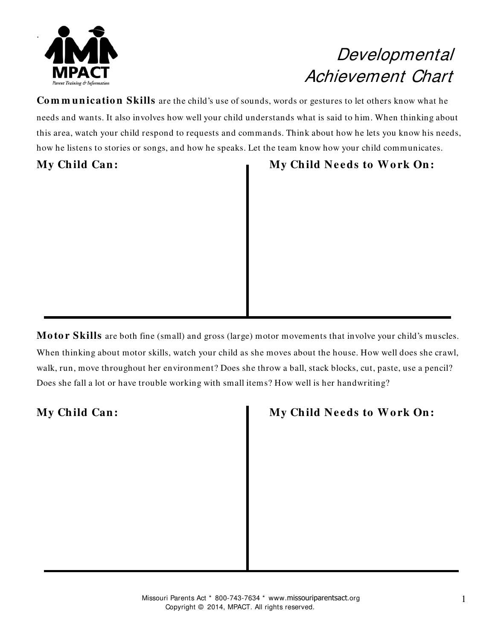

## Developmental Achievement Chart

**Co m m un icatio n Skills** are the child's use of sounds, words or gestures to let others know what he needs and wants. It also involves how well your child understands what is said to him. When thinking about this area, watch your child respond to requests and commands. Think about how he lets you know his needs, how he listens to stories or songs, and how he speaks. Let the team know how your child communicates.

### My Child Can: My Child Needs to Work On:

**Motor Skills** are both fine (small) and gross (large) motor movements that involve your child's muscles. When thinking about motor skills, watch your child as she moves about the house. How well does she crawl, walk, run, move throughout her environment? Does she throw a ball, stack blocks, cut, paste, use a pencil? Does she fall a lot or have trouble working with small items? How well is her handwriting?

### **My Ch ild Can : My Ch ild Ne eds to W o rk On :**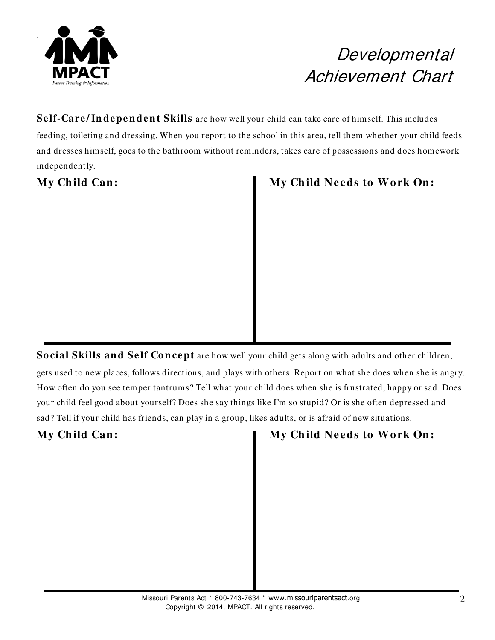

## Developmental Achievement Chart

### **Self-Care/Independent Skills** are how well your child can take care of himself. This includes feeding, toileting and dressing. When you report to the school in this area, tell them whether your child feeds and dresses himself, goes to the bathroom without reminders, takes care of possessions and does homework independently.

My Child Can: My Child Needs to Work On:

**Social Skills and Self Concept** are how well your child gets along with adults and other children,

gets used to new places, follows directions, and plays with others. Report on what she does when she is angry. How often do you see temper tantrums? Tell what your child does when she is frustrated, happy or sad. Does your child feel good about yourself? Does she say things like I'm so stupid? Or is she often depressed and sad? Tell if your child has friends, can play in a group, likes adults, or is afraid of new situations.

My Child Can: **My Child Needs to Work On:**